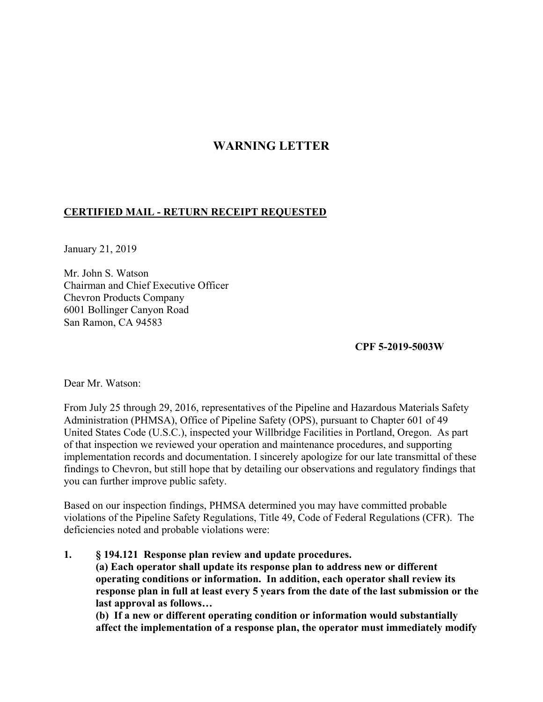# **WARNING LETTER**

# **CERTIFIED MAIL - RETURN RECEIPT REQUESTED**

January 21, 2019

Mr. John S. Watson Chairman and Chief Executive Officer Chevron Products Company 6001 Bollinger Canyon Road San Ramon, CA 94583

**CPF 5-2019-5003W** 

Dear Mr. Watson:

From July 25 through 29, 2016, representatives of the Pipeline and Hazardous Materials Safety Administration (PHMSA), Office of Pipeline Safety (OPS), pursuant to Chapter 601 of 49 United States Code (U.S.C.), inspected your Willbridge Facilities in Portland, Oregon. As part of that inspection we reviewed your operation and maintenance procedures, and supporting implementation records and documentation. I sincerely apologize for our late transmittal of these findings to Chevron, but still hope that by detailing our observations and regulatory findings that you can further improve public safety.

Based on our inspection findings, PHMSA determined you may have committed probable violations of the Pipeline Safety Regulations, Title 49, Code of Federal Regulations (CFR). The deficiencies noted and probable violations were:

 **operating conditions or information. In addition, each operator shall review its 1. § 194.121 Response plan review and update procedures. (a) Each operator shall update its response plan to address new or different response plan in full at least every 5 years from the date of the last submission or the last approval as follows…** 

**(b) If a new or different operating condition or information would substantially affect the implementation of a response plan, the operator must immediately modify**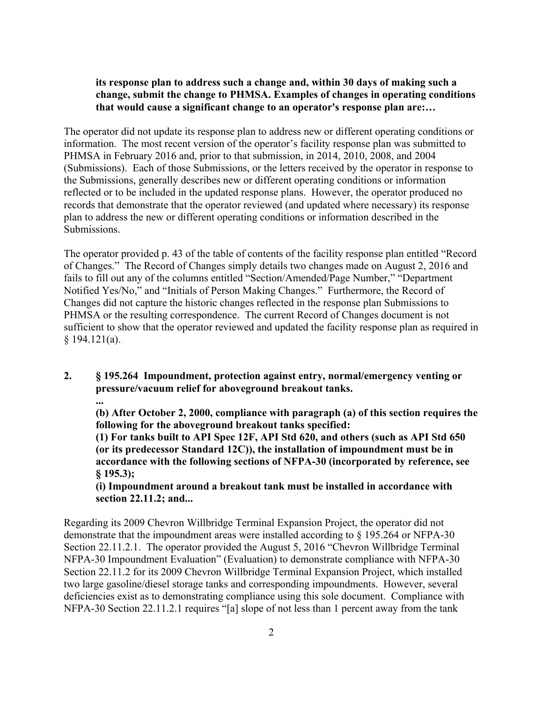# **its response plan to address such a change and, within 30 days of making such a change, submit the change to PHMSA. Examples of changes in operating conditions that would cause a significant change to an operator's response plan are:…**

The operator did not update its response plan to address new or different operating conditions or information. The most recent version of the operator's facility response plan was submitted to PHMSA in February 2016 and, prior to that submission, in 2014, 2010, 2008, and 2004 (Submissions). Each of those Submissions, or the letters received by the operator in response to the Submissions, generally describes new or different operating conditions or information reflected or to be included in the updated response plans. However, the operator produced no records that demonstrate that the operator reviewed (and updated where necessary) its response plan to address the new or different operating conditions or information described in the Submissions.

The operator provided p. 43 of the table of contents of the facility response plan entitled "Record of Changes." The Record of Changes simply details two changes made on August 2, 2016 and fails to fill out any of the columns entitled "Section/Amended/Page Number," "Department Notified Yes/No," and "Initials of Person Making Changes." Furthermore, the Record of Changes did not capture the historic changes reflected in the response plan Submissions to PHMSA or the resulting correspondence. The current Record of Changes document is not sufficient to show that the operator reviewed and updated the facility response plan as required in § 194.121(a).

**2. § 195.264 Impoundment, protection against entry, normal/emergency venting or pressure/vacuum relief for aboveground breakout tanks.** 

**...** 

**(b) After October 2, 2000, compliance with paragraph (a) of this section requires the following for the aboveground breakout tanks specified:** 

**(1) For tanks built to API Spec 12F, API Std 620, and others (such as API Std 650 (or its predecessor Standard 12C)), the installation of impoundment must be in accordance with the following sections of NFPA-30 (incorporated by reference, see § 195.3);** 

**(i) Impoundment around a breakout tank must be installed in accordance with section 22.11.2; and...** 

Regarding its 2009 Chevron Willbridge Terminal Expansion Project, the operator did not demonstrate that the impoundment areas were installed according to § 195.264 or NFPA-30 Section 22.11.2.1. The operator provided the August 5, 2016 "Chevron Willbridge Terminal NFPA-30 Impoundment Evaluation" (Evaluation) to demonstrate compliance with NFPA-30 Section 22.11.2 for its 2009 Chevron Willbridge Terminal Expansion Project, which installed two large gasoline/diesel storage tanks and corresponding impoundments. However, several deficiencies exist as to demonstrating compliance using this sole document. Compliance with NFPA-30 Section 22.11.2.1 requires "[a] slope of not less than 1 percent away from the tank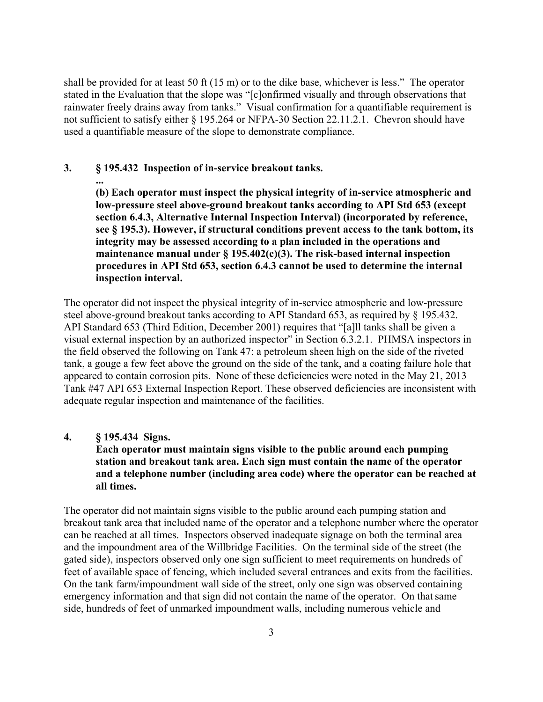shall be provided for at least 50 ft (15 m) or to the dike base, whichever is less." The operator stated in the Evaluation that the slope was "[c]onfirmed visually and through observations that rainwater freely drains away from tanks." Visual confirmation for a quantifiable requirement is not sufficient to satisfy either § 195.264 or NFPA-30 Section 22.11.2.1. Chevron should have used a quantifiable measure of the slope to demonstrate compliance.

### **3. § 195.432 Inspection of in-service breakout tanks.**

**(b) Each operator must inspect the physical integrity of in-service atmospheric and low-pressure steel above-ground breakout tanks according to API Std 653 (except section 6.4.3, Alternative Internal Inspection Interval) (incorporated by reference, see § 195.3). However, if structural conditions prevent access to the tank bottom, its integrity may be assessed according to a plan included in the operations and maintenance manual under § 195.402(c)(3). The risk-based internal inspection procedures in API Std 653, section 6.4.3 cannot be used to determine the internal inspection interval.**

The operator did not inspect the physical integrity of in-service atmospheric and low-pressure steel above-ground breakout tanks according to API Standard 653, as required by § 195.432. API Standard 653 (Third Edition, December 2001) requires that "[a]ll tanks shall be given a visual external inspection by an authorized inspector" in Section 6.3.2.1. PHMSA inspectors in the field observed the following on Tank 47: a petroleum sheen high on the side of the riveted tank, a gouge a few feet above the ground on the side of the tank, and a coating failure hole that appeared to contain corrosion pits. None of these deficiencies were noted in the May 21, 2013 Tank #47 API 653 External Inspection Report. These observed deficiencies are inconsistent with adequate regular inspection and maintenance of the facilities.

#### **4. § 195.434 Signs.**

**...** 

**Each operator must maintain signs visible to the public around each pumping station and breakout tank area. Each sign must contain the name of the operator and a telephone number (including area code) where the operator can be reached at all times.**

The operator did not maintain signs visible to the public around each pumping station and breakout tank area that included name of the operator and a telephone number where the operator can be reached at all times. Inspectors observed inadequate signage on both the terminal area and the impoundment area of the Willbridge Facilities. On the terminal side of the street (the gated side), inspectors observed only one sign sufficient to meet requirements on hundreds of feet of available space of fencing, which included several entrances and exits from the facilities. On the tank farm/impoundment wall side of the street, only one sign was observed containing emergency information and that sign did not contain the name of the operator. On that same side, hundreds of feet of unmarked impoundment walls, including numerous vehicle and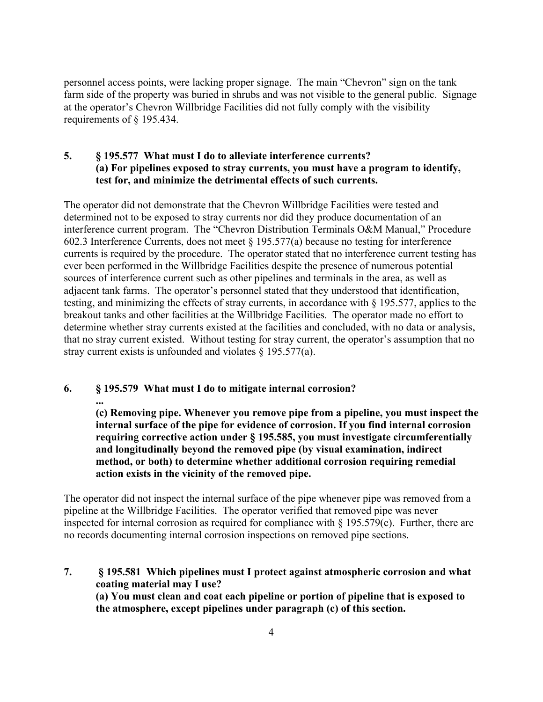personnel access points, were lacking proper signage. The main "Chevron" sign on the tank farm side of the property was buried in shrubs and was not visible to the general public. Signage at the operator's Chevron Willbridge Facilities did not fully comply with the visibility requirements of § 195.434.

# **5. § 195.577 What must I do to alleviate interference currents? (a) For pipelines exposed to stray currents, you must have a program to identify, test for, and minimize the detrimental effects of such currents.**

The operator did not demonstrate that the Chevron Willbridge Facilities were tested and determined not to be exposed to stray currents nor did they produce documentation of an interference current program. The "Chevron Distribution Terminals O&M Manual," Procedure 602.3 Interference Currents, does not meet § 195.577(a) because no testing for interference currents is required by the procedure. The operator stated that no interference current testing has ever been performed in the Willbridge Facilities despite the presence of numerous potential sources of interference current such as other pipelines and terminals in the area, as well as adjacent tank farms. The operator's personnel stated that they understood that identification, testing, and minimizing the effects of stray currents, in accordance with § 195.577, applies to the breakout tanks and other facilities at the Willbridge Facilities. The operator made no effort to determine whether stray currents existed at the facilities and concluded, with no data or analysis, that no stray current existed. Without testing for stray current, the operator's assumption that no stray current exists is unfounded and violates § 195.577(a).

#### **6. § 195.579 What must I do to mitigate internal corrosion?**

**... (c) Removing pipe. Whenever you remove pipe from a pipeline, you must inspect the internal surface of the pipe for evidence of corrosion. If you find internal corrosion requiring corrective action under § 195.585, you must investigate circumferentially and longitudinally beyond the removed pipe (by visual examination, indirect method, or both) to determine whether additional corrosion requiring remedial action exists in the vicinity of the removed pipe.** 

The operator did not inspect the internal surface of the pipe whenever pipe was removed from a pipeline at the Willbridge Facilities. The operator verified that removed pipe was never inspected for internal corrosion as required for compliance with § 195.579(c). Further, there are no records documenting internal corrosion inspections on removed pipe sections.

**7. § 195.581 Which pipelines must I protect against atmospheric corrosion and what coating material may I use? (a) You must clean and coat each pipeline or portion of pipeline that is exposed to the atmosphere, except pipelines under paragraph (c) of this section.**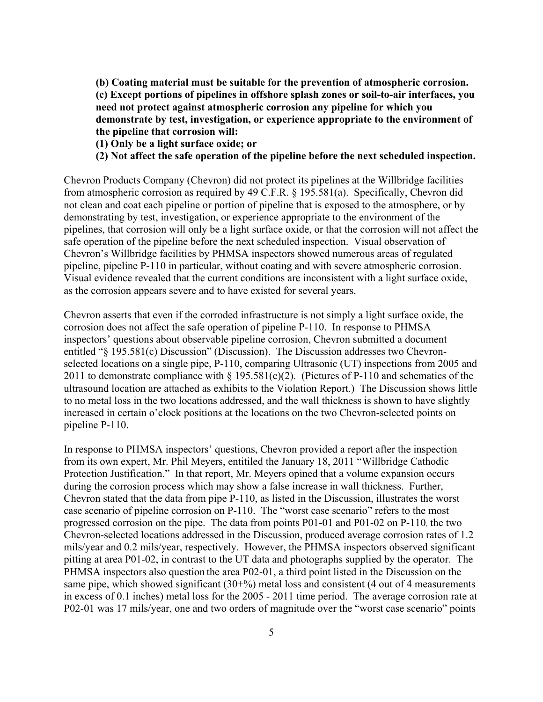**(b) Coating material must be suitable for the prevention of atmospheric corrosion. (c) Except portions of pipelines in offshore splash zones or soil-to-air interfaces, you need not protect against atmospheric corrosion any pipeline for which you demonstrate by test, investigation, or experience appropriate to the environment of the pipeline that corrosion will:** 

**(1) Only be a light surface oxide; or** 

**(2) Not affect the safe operation of the pipeline before the next scheduled inspection.** 

Chevron Products Company (Chevron) did not protect its pipelines at the Willbridge facilities from atmospheric corrosion as required by 49 C.F.R. § 195.581(a). Specifically, Chevron did not clean and coat each pipeline or portion of pipeline that is exposed to the atmosphere, or by demonstrating by test, investigation, or experience appropriate to the environment of the pipelines, that corrosion will only be a light surface oxide, or that the corrosion will not affect the safe operation of the pipeline before the next scheduled inspection. Visual observation of Chevron's Willbridge facilities by PHMSA inspectors showed numerous areas of regulated pipeline, pipeline P-110 in particular, without coating and with severe atmospheric corrosion. Visual evidence revealed that the current conditions are inconsistent with a light surface oxide, as the corrosion appears severe and to have existed for several years.

Chevron asserts that even if the corroded infrastructure is not simply a light surface oxide, the corrosion does not affect the safe operation of pipeline P-110. In response to PHMSA inspectors' questions about observable pipeline corrosion, Chevron submitted a document entitled "§ 195.581(c) Discussion" (Discussion). The Discussion addresses two Chevronselected locations on a single pipe, P-110, comparing Ultrasonic (UT) inspections from 2005 and 2011 to demonstrate compliance with  $\S 195.581(c)(2)$ . (Pictures of P-110 and schematics of the ultrasound location are attached as exhibits to the Violation Report.) The Discussion shows little to no metal loss in the two locations addressed, and the wall thickness is shown to have slightly increased in certain o'clock positions at the locations on the two Chevron-selected points on pipeline P-110.

In response to PHMSA inspectors' questions, Chevron provided a report after the inspection from its own expert, Mr. Phil Meyers, entitiled the January 18, 2011 "Willbridge Cathodic Protection Justification." In that report, Mr. Meyers opined that a volume expansion occurs during the corrosion process which may show a false increase in wall thickness. Further, Chevron stated that the data from pipe P-110, as listed in the Discussion, illustrates the worst case scenario of pipeline corrosion on P-110. The "worst case scenario" refers to the most progressed corrosion on the pipe. The data from points P01-01 and P01-02 on P-110, the two Chevron-selected locations addressed in the Discussion, produced average corrosion rates of 1.2 mils/year and 0.2 mils/year, respectively. However, the PHMSA inspectors observed significant pitting at area P01-02, in contrast to the UT data and photographs supplied by the operator. The PHMSA inspectors also question the area P02-01, a third point listed in the Discussion on the same pipe, which showed significant  $(30+%)$  metal loss and consistent  $(4 \text{ out of } 4 \text{ measurements})$ in excess of 0.1 inches) metal loss for the 2005 - 2011 time period. The average corrosion rate at P02-01 was 17 mils/year, one and two orders of magnitude over the "worst case scenario" points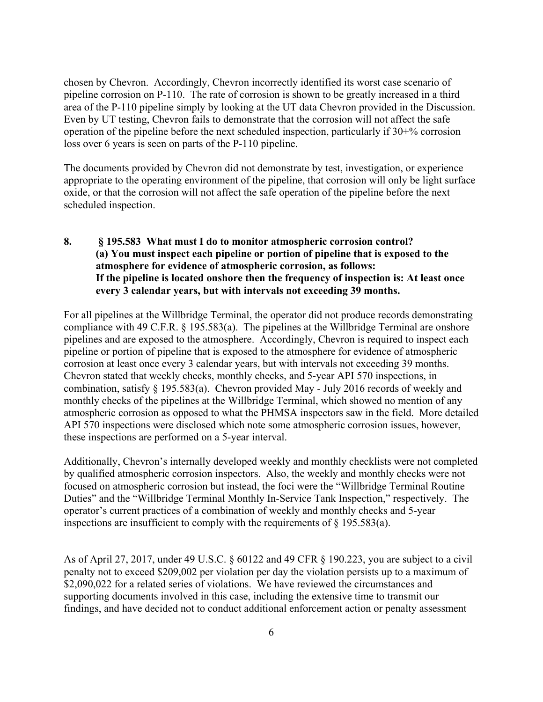chosen by Chevron. Accordingly, Chevron incorrectly identified its worst case scenario of pipeline corrosion on P-110. The rate of corrosion is shown to be greatly increased in a third area of the P-110 pipeline simply by looking at the UT data Chevron provided in the Discussion. Even by UT testing, Chevron fails to demonstrate that the corrosion will not affect the safe operation of the pipeline before the next scheduled inspection, particularly if 30+% corrosion loss over 6 years is seen on parts of the P-110 pipeline.

The documents provided by Chevron did not demonstrate by test, investigation, or experience appropriate to the operating environment of the pipeline, that corrosion will only be light surface oxide, or that the corrosion will not affect the safe operation of the pipeline before the next scheduled inspection.

# **8. § 195.583 What must I do to monitor atmospheric corrosion control? (a) You must inspect each pipeline or portion of pipeline that is exposed to the atmosphere for evidence of atmospheric corrosion, as follows: If the pipeline is located onshore then the frequency of inspection is: At least once every 3 calendar years, but with intervals not exceeding 39 months.**

For all pipelines at the Willbridge Terminal, the operator did not produce records demonstrating compliance with 49 C.F.R. § 195.583(a). The pipelines at the Willbridge Terminal are onshore pipelines and are exposed to the atmosphere. Accordingly, Chevron is required to inspect each pipeline or portion of pipeline that is exposed to the atmosphere for evidence of atmospheric corrosion at least once every 3 calendar years, but with intervals not exceeding 39 months. Chevron stated that weekly checks, monthly checks, and 5-year API 570 inspections, in combination, satisfy § 195.583(a). Chevron provided May - July 2016 records of weekly and monthly checks of the pipelines at the Willbridge Terminal, which showed no mention of any atmospheric corrosion as opposed to what the PHMSA inspectors saw in the field. More detailed API 570 inspections were disclosed which note some atmospheric corrosion issues, however, these inspections are performed on a 5-year interval.

Additionally, Chevron's internally developed weekly and monthly checklists were not completed by qualified atmospheric corrosion inspectors. Also, the weekly and monthly checks were not focused on atmospheric corrosion but instead, the foci were the "Willbridge Terminal Routine Duties" and the "Willbridge Terminal Monthly In-Service Tank Inspection," respectively. The operator's current practices of a combination of weekly and monthly checks and 5-year inspections are insufficient to comply with the requirements of  $\S$  195.583(a).

As of April 27, 2017, under 49 U.S.C. § 60122 and 49 CFR § 190.223, you are subject to a civil penalty not to exceed \$209,002 per violation per day the violation persists up to a maximum of \$2,090,022 for a related series of violations. We have reviewed the circumstances and supporting documents involved in this case, including the extensive time to transmit our findings, and have decided not to conduct additional enforcement action or penalty assessment